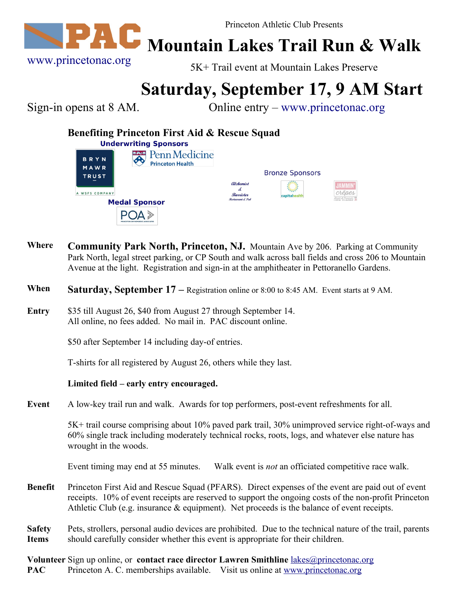

**Mountain Lakes Trail Run & Walk**

5K+ Trail event at Mountain Lakes Preserve

## **Saturday, September 17, 9 AM Start**

Sign-in opens at 8 AM. Online entry – [www.princetonac.org](http://www.princetonac.org/)

## **Benefiting Princeton First Aid & Rescue Squad**

| <b>Underwriting Sponsors</b> |                                                  |                                                         |                               |                       |
|------------------------------|--------------------------------------------------|---------------------------------------------------------|-------------------------------|-----------------------|
| <b>BRYN</b><br>MAWR          | Penn Medicine<br>書典3書<br><b>Princeton Health</b> |                                                         |                               |                       |
| <b>TRUST</b>                 |                                                  |                                                         | <b>Bronze Sponsors</b>        |                       |
| A WSFS COMPANY               |                                                  | <i><u><b>Alchemist</b></u></i><br>Æ<br><b>Barrister</b> | $\frac{3}{2}$<br>capitahealth | olotesia' B Passansia |
| <b>Medal Sponsor</b>         |                                                  | Restuarant & Pub                                        |                               | 200VALELAND           |
|                              | PRINCETON ORTHOPAEDIC ASSOCIATES                 |                                                         |                               |                       |

- **Where Community Park North, Princeton, NJ.** Mountain Ave by 206. Parking at Community Park North, legal street parking, or CP South and walk across ball fields and cross 206 to Mountain Avenue at the light. Registration and sign-in at the amphitheater in Pettoranello Gardens.
- **When Saturday, September 17** Registration online or 8:00 to 8:45 AM. Event starts at 9 AM.
- **Entry** \$35 till August 26, \$40 from August 27 through September 14. All online, no fees added. No mail in. PAC discount online.

\$50 after September 14 including day-of entries.

T-shirts for all registered by August 26, others while they last.

## **Limited field – early entry encouraged.**

**Event** A low-key trail run and walk. Awards for top performers, post-event refreshments for all.

5K+ trail course comprising about 10% paved park trail, 30% unimproved service right-of-ways and 60% single track including moderately technical rocks, roots, logs, and whatever else nature has wrought in the woods.

Event timing may end at 55 minutes. Walk event is *not* an officiated competitive race walk.

- **Benefit** Princeton First Aid and Rescue Squad (PFARS). Direct expenses of the event are paid out of event receipts. 10% of event receipts are reserved to support the ongoing costs of the non-profit Princeton Athletic Club (e.g. insurance & equipment). Net proceeds is the balance of event receipts.
- **Safety Items** Pets, strollers, personal audio devices are prohibited. Due to the technical nature of the trail, parents should carefully consider whether this event is appropriate for their children.

**Volunteer** Sign up online, or **contact race director Lawren Smithline** [lakes@princetonac.org](mailto:lakes@princetonac.org) **PAC** Princeton A. C. memberships available. Visit us online at [www.princetonac.org](http://www.princetonac.org/)